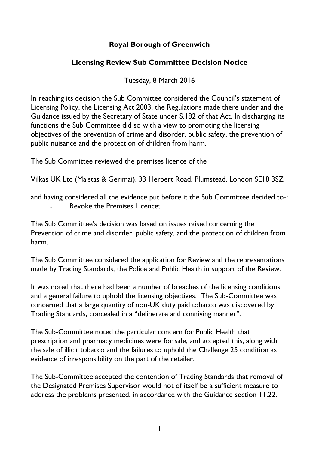## **Royal Borough of Greenwich**

## **Licensing Review Sub Committee Decision Notice**

Tuesday, 8 March 2016

In reaching its decision the Sub Committee considered the Council's statement of Licensing Policy, the Licensing Act 2003, the Regulations made there under and the Guidance issued by the Secretary of State under S.182 of that Act. In discharging its functions the Sub Committee did so with a view to promoting the licensing objectives of the prevention of crime and disorder, public safety, the prevention of public nuisance and the protection of children from harm.

The Sub Committee reviewed the premises licence of the

Vilkas UK Ltd (Maistas & Gerimai), 33 Herbert Road, Plumstead, London SE18 3SZ

and having considered all the evidence put before it the Sub Committee decided to-: Revoke the Premises Licence:

The Sub Committee's decision was based on issues raised concerning the Prevention of crime and disorder, public safety, and the protection of children from harm.

The Sub Committee considered the application for Review and the representations made by Trading Standards, the Police and Public Health in support of the Review.

It was noted that there had been a number of breaches of the licensing conditions and a general failure to uphold the licensing objectives. The Sub-Committee was concerned that a large quantity of non-UK duty paid tobacco was discovered by Trading Standards, concealed in a "deliberate and conniving manner".

The Sub-Committee noted the particular concern for Public Health that prescription and pharmacy medicines were for sale, and accepted this, along with the sale of illicit tobacco and the failures to uphold the Challenge 25 condition as evidence of irresponsibility on the part of the retailer.

The Sub-Committee accepted the contention of Trading Standards that removal of the Designated Premises Supervisor would not of itself be a sufficient measure to address the problems presented, in accordance with the Guidance section 11.22.